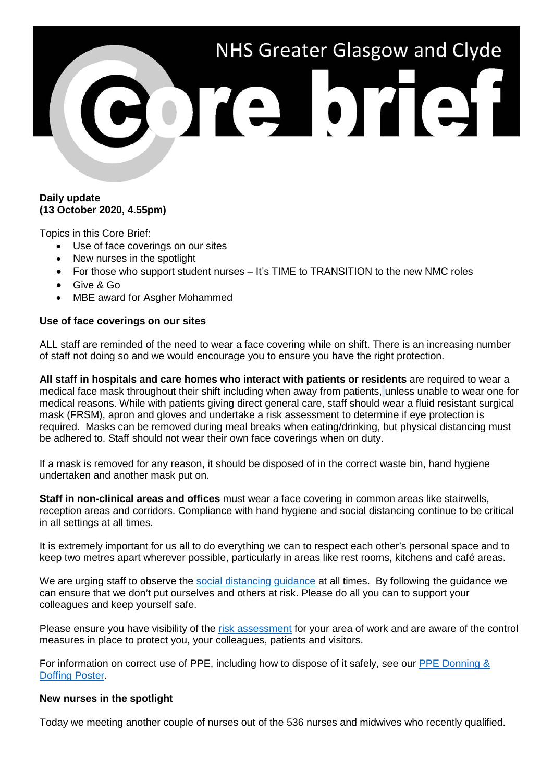# NHS Greater Glasgow and Clyde Te bref

# **Daily update (13 October 2020, 4.55pm)**

Topics in this Core Brief:

- Use of face coverings on our sites
- New nurses in the spotlight
- For those who support student nurses It's TIME to TRANSITION to the new NMC roles
- Give & Go
- MBE award for Asgher Mohammed

# **Use of face coverings on our sites**

ALL staff are reminded of the need to wear a face covering while on shift. There is an increasing number of staff not doing so and we would encourage you to ensure you have the right protection.

**All staff in hospitals and care homes who interact with patients or residents** are required to wear a medical face mask throughout their shift including when away from patients, unless unable to wear one for medical reasons. While with patients giving direct general care, staff should wear a fluid resistant surgical mask (FRSM), apron and gloves and undertake a risk assessment to determine if eye protection is required. Masks can be removed during meal breaks when eating/drinking, but physical distancing must be adhered to. Staff should not wear their own face coverings when on duty.

If a mask is removed for any reason, it should be disposed of in the correct waste bin, hand hygiene undertaken and another mask put on.

**Staff in non-clinical areas and offices** must wear a face covering in common areas like stairwells, reception areas and corridors. Compliance with hand hygiene and social distancing continue to be critical in all settings at all times.

It is extremely important for us all to do everything we can to respect each other's personal space and to keep two metres apart wherever possible, particularly in areas like rest rooms, kitchens and café areas.

We are urging staff to observe the [social distancing guidance](https://www.nhsggc.org.uk/your-health/health-issues/covid-19-coronavirus/for-nhsggc-staff/social-distancing-in-the-workplace/) at all times. By following the guidance we can ensure that we don't put ourselves and others at risk. Please do all you can to support your colleagues and keep yourself safe.

Please ensure you have visibility of the [risk assessment](https://www.nhsggc.org.uk/media/261248/covid19_staff_socdist_risk_assessment.docx) for your area of work and are aware of the control measures in place to protect you, your colleagues, patients and visitors.

For information on correct use of PPE, including how to dispose of it safely, see our [PPE Donning &](https://www.nhsggc.org.uk/media/259300/ppe-donning_doffing-poster-amended-mar-20-draft.pdf)  [Doffing Poster.](https://www.nhsggc.org.uk/media/259300/ppe-donning_doffing-poster-amended-mar-20-draft.pdf)

#### **New nurses in the spotlight**

Today we meeting another couple of nurses out of the 536 nurses and midwives who recently qualified.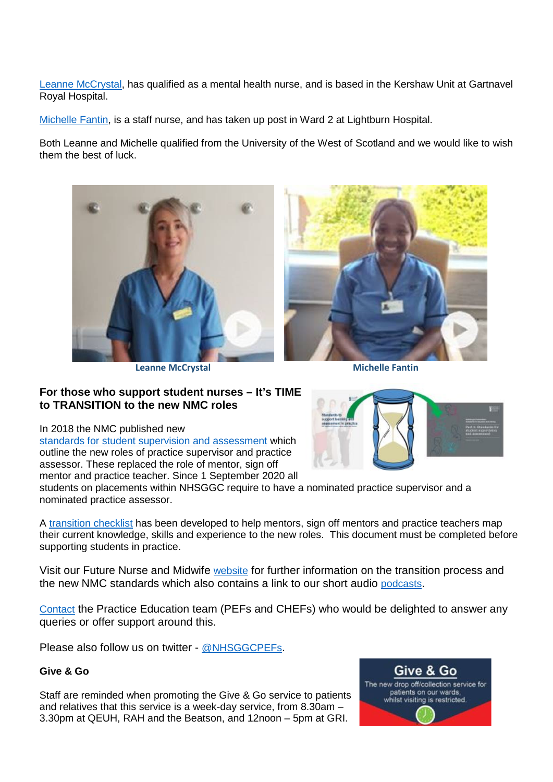[Leanne McCrystal,](https://www.youtube.com/watch?v=dC3ahK8rJt0) has qualified as a mental health nurse, and is based in the Kershaw Unit at Gartnavel Royal Hospital.

[Michelle Fantin,](https://www.youtube.com/watch?v=Q1mZHEvva7g) is a staff nurse, and has taken up post in Ward 2 at Lightburn Hospital.

Both Leanne and Michelle qualified from the University of the West of Scotland and we would like to wish them the best of luck.



**Leanne McCrystal Michelle Fantin**



# **For those who support student nurses – It's TIME to TRANSITION to the new NMC roles**

In 2018 the NMC published new

[standards for student supervision and assessment](https://www.nmc.org.uk/standards-for-education-and-training/standards-for-student-supervision-and-assessment/) which outline the new roles of practice supervisor and practice assessor. These replaced the role of mentor, sign off mentor and practice teacher. Since 1 September 2020 all

students on placements within NHSGGC require to have a nominated practice supervisor and a nominated practice assessor.

A [transition checklist](https://www.nhsggc.org.uk/media/263156/printable-document-wos-transition-to-ps-and-pa-roles-v0-2-070520-fillable.pdf) has been developed to help mentors, sign off mentors and practice teachers map their current knowledge, skills and experience to the new roles. This document must be completed before supporting students in practice.

Visit our Future Nurse and Midwife [website](https://www.nhsggc.org.uk/about-us/professional-support-sites/nurses-midwives/future-nurse-and-midwife/) for further information on the transition process and the new NMC standards which also contains a link to our short audio [podcasts.](https://www.nhsggc.org.uk/about-us/professional-support-sites/nurses-midwives/education-and-professional-development/pefchef-teams/podcast-lets-talk-practice-education-learn-your-way/)

[Contact](https://www.nhsggc.org.uk/about-us/professional-support-sites/nurses-midwives/education-and-professional-development/pefchef-teams/pef-chef-team/) the Practice Education team (PEFs and CHEFs) who would be delighted to answer any queries or offer support around this.

Please also follow us on twitter - [@NHSGGCPEFs.](https://twitter.com/NHSGGCPEFs)

# **Give & Go**

Staff are reminded when promoting the Give & Go service to patients and relatives that this service is a week-day service, from 8.30am – 3.30pm at QEUH, RAH and the Beatson, and 12noon – 5pm at GRI.